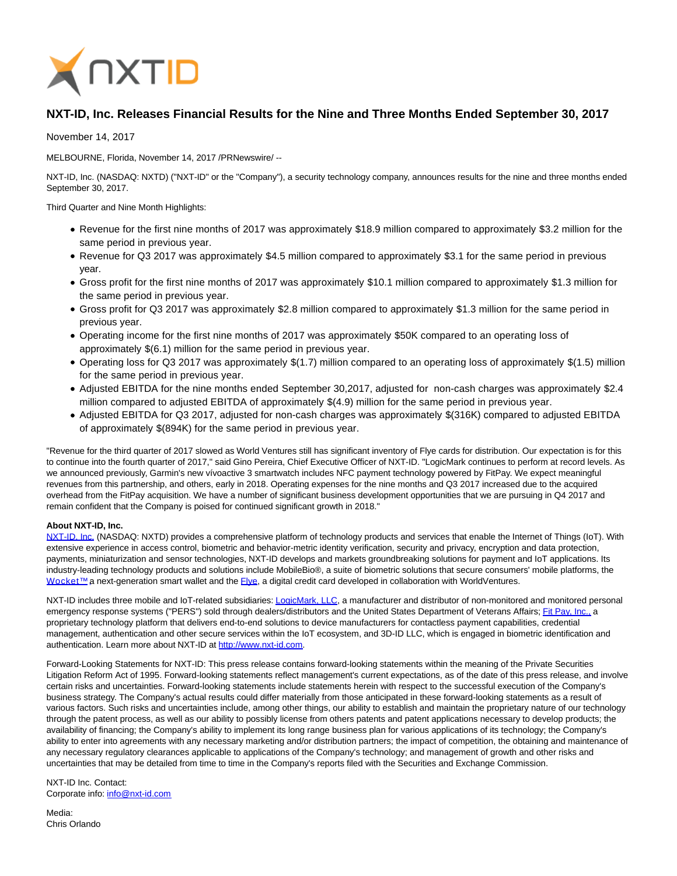

## **NXT-ID, Inc. Releases Financial Results for the Nine and Three Months Ended September 30, 2017**

November 14, 2017

MELBOURNE, Florida, November 14, 2017 /PRNewswire/ --

NXT-ID, Inc. (NASDAQ: NXTD) ("NXT-ID" or the "Company"), a security technology company, announces results for the nine and three months ended September 30, 2017.

Third Quarter and Nine Month Highlights:

- Revenue for the first nine months of 2017 was approximately \$18.9 million compared to approximately \$3.2 million for the same period in previous year.
- Revenue for Q3 2017 was approximately \$4.5 million compared to approximately \$3.1 for the same period in previous year.
- Gross profit for the first nine months of 2017 was approximately \$10.1 million compared to approximately \$1.3 million for the same period in previous year.
- Gross profit for Q3 2017 was approximately \$2.8 million compared to approximately \$1.3 million for the same period in previous year.
- Operating income for the first nine months of 2017 was approximately \$50K compared to an operating loss of approximately \$(6.1) million for the same period in previous year.
- Operating loss for Q3 2017 was approximately \$(1.7) million compared to an operating loss of approximately \$(1.5) million for the same period in previous year.
- Adjusted EBITDA for the nine months ended September 30,2017, adjusted for non-cash charges was approximately \$2.4 million compared to adjusted EBITDA of approximately \$(4.9) million for the same period in previous year.
- Adjusted EBITDA for Q3 2017, adjusted for non-cash charges was approximately \$(316K) compared to adjusted EBITDA of approximately \$(894K) for the same period in previous year.

"Revenue for the third quarter of 2017 slowed as World Ventures still has significant inventory of Flye cards for distribution. Our expectation is for this to continue into the fourth quarter of 2017," said Gino Pereira, Chief Executive Officer of NXT-ID. "LogicMark continues to perform at record levels. As we announced previously, Garmin's new vívoactive 3 smartwatch includes NFC payment technology powered by FitPay. We expect meaningful revenues from this partnership, and others, early in 2018. Operating expenses for the nine months and Q3 2017 increased due to the acquired overhead from the FitPay acquisition. We have a number of significant business development opportunities that we are pursuing in Q4 2017 and remain confident that the Company is poised for continued significant growth in 2018."

## **About NXT-ID, Inc.**

[NXT-ID, Inc. \(](http://www.nxt-id.com/)NASDAQ: NXTD) provides a comprehensive platform of technology products and services that enable the Internet of Things (IoT). With extensive experience in access control, biometric and behavior-metric identity verification, security and privacy, encryption and data protection, payments, miniaturization and sensor technologies, NXT-ID develops and markets groundbreaking solutions for payment and IoT applications. Its industry-leading technology products and solutions include MobileBio®, a suite of biometric solutions that secure consumers' mobile platforms, the Wocket™ a next-generation smart wallet and the [Flye,](https://www.flye.com/) a digital credit card developed in collaboration with WorldVentures.

NXT-ID includes three mobile and IoT-related subsidiaries[: LogicMark, LLC,](https://www.logicmark.com/) a manufacturer and distributor of non-monitored and monitored personal emergency response systems ("PERS") sold through dealers/distributors and the United States Department of Veterans Affairs[; Fit Pay, Inc., a](http://www.fit-pay.com/) proprietary technology platform that delivers end-to-end solutions to device manufacturers for contactless payment capabilities, credential management, authentication and other secure services within the IoT ecosystem, and 3D-ID LLC, which is engaged in biometric identification and authentication. Learn more about NXT-ID at [http://www.nxt-id.com.](http://www.nxt-id.com/)

Forward-Looking Statements for NXT-ID: This press release contains forward-looking statements within the meaning of the Private Securities Litigation Reform Act of 1995. Forward-looking statements reflect management's current expectations, as of the date of this press release, and involve certain risks and uncertainties. Forward-looking statements include statements herein with respect to the successful execution of the Company's business strategy. The Company's actual results could differ materially from those anticipated in these forward-looking statements as a result of various factors. Such risks and uncertainties include, among other things, our ability to establish and maintain the proprietary nature of our technology through the patent process, as well as our ability to possibly license from others patents and patent applications necessary to develop products; the availability of financing; the Company's ability to implement its long range business plan for various applications of its technology; the Company's ability to enter into agreements with any necessary marketing and/or distribution partners; the impact of competition, the obtaining and maintenance of any necessary regulatory clearances applicable to applications of the Company's technology; and management of growth and other risks and uncertainties that may be detailed from time to time in the Company's reports filed with the Securities and Exchange Commission.

NXT-ID Inc. Contact: Corporate info: [info@nxt-id.com](mailto:info@nxt-id.com)

Media: Chris Orlando